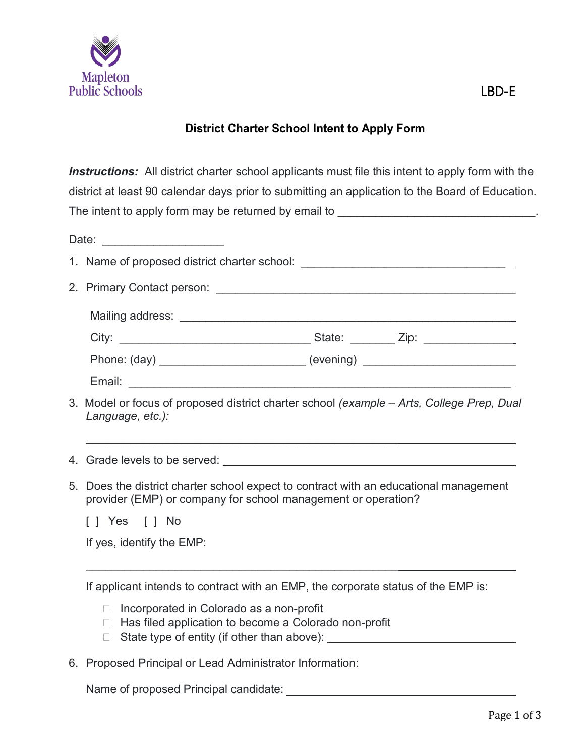

## **District Charter School Intent to Apply Form**

*Instructions:* All district charter school applicants must file this intent to apply form with the district at least 90 calendar days prior to submitting an application to the Board of Education. The intent to apply form may be returned by email to \_\_\_\_\_\_\_\_\_\_\_\_\_\_\_\_\_\_\_\_\_\_\_\_\_\_\_\_\_\_\_.

| Date: _______________________                                                                                                                          |  |  |  |  |  |  |  |
|--------------------------------------------------------------------------------------------------------------------------------------------------------|--|--|--|--|--|--|--|
|                                                                                                                                                        |  |  |  |  |  |  |  |
|                                                                                                                                                        |  |  |  |  |  |  |  |
|                                                                                                                                                        |  |  |  |  |  |  |  |
|                                                                                                                                                        |  |  |  |  |  |  |  |
| Phone: (day) ___________________________ (evening) _____________________________                                                                       |  |  |  |  |  |  |  |
|                                                                                                                                                        |  |  |  |  |  |  |  |
| 3. Model or focus of proposed district charter school (example – Arts, College Prep, Dual<br>Language, etc.):                                          |  |  |  |  |  |  |  |
|                                                                                                                                                        |  |  |  |  |  |  |  |
| 5. Does the district charter school expect to contract with an educational management<br>provider (EMP) or company for school management or operation? |  |  |  |  |  |  |  |
| $\lceil$   Yes $\lceil$   No                                                                                                                           |  |  |  |  |  |  |  |
| If yes, identify the EMP:                                                                                                                              |  |  |  |  |  |  |  |
| If applicant intends to contract with an EMP, the corporate status of the EMP is:                                                                      |  |  |  |  |  |  |  |

- □ Incorporated in Colorado as a non-profit
- □ Has filed application to become a Colorado non-profit
- State type of entity (if other than above):
- 6. Proposed Principal or Lead Administrator Information:

Name of proposed Principal candidate: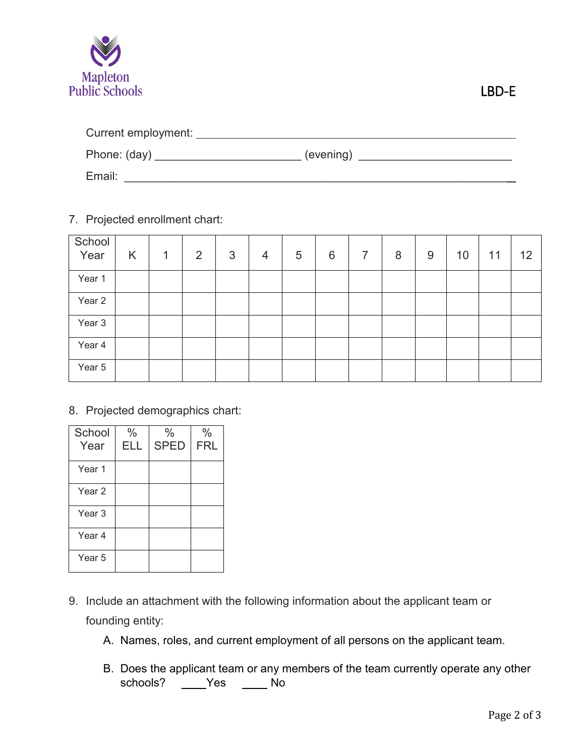

| Current employment: |           |
|---------------------|-----------|
| Phone: (day)        | (evening) |
| Email:              |           |

7. Projected enrollment chart:

| School<br>Year | K | 1 | $\overline{2}$ | 3 | $\overline{4}$ | 5 | 6 | $\overline{7}$ | 8 | 9 | 10 | 11 | 12 |
|----------------|---|---|----------------|---|----------------|---|---|----------------|---|---|----|----|----|
| Year 1         |   |   |                |   |                |   |   |                |   |   |    |    |    |
| Year 2         |   |   |                |   |                |   |   |                |   |   |    |    |    |
| Year 3         |   |   |                |   |                |   |   |                |   |   |    |    |    |
| Year 4         |   |   |                |   |                |   |   |                |   |   |    |    |    |
| Year 5         |   |   |                |   |                |   |   |                |   |   |    |    |    |

8. Projected demographics chart:

| School<br>Year | $\frac{0}{0}$<br>ELL | $\frac{0}{0}$<br><b>SPED</b> | $\%$<br><b>FRL</b> |
|----------------|----------------------|------------------------------|--------------------|
| Year 1         |                      |                              |                    |
| Year 2         |                      |                              |                    |
| Year 3         |                      |                              |                    |
| Year 4         |                      |                              |                    |
| Year 5         |                      |                              |                    |

- 9. Include an attachment with the following information about the applicant team or founding entity:
	- A. Names, roles, and current employment of all persons on the applicant team.
	- B. Does the applicant team or any members of the team currently operate any other schools? \_\_\_\_Yes \_\_\_\_\_ No